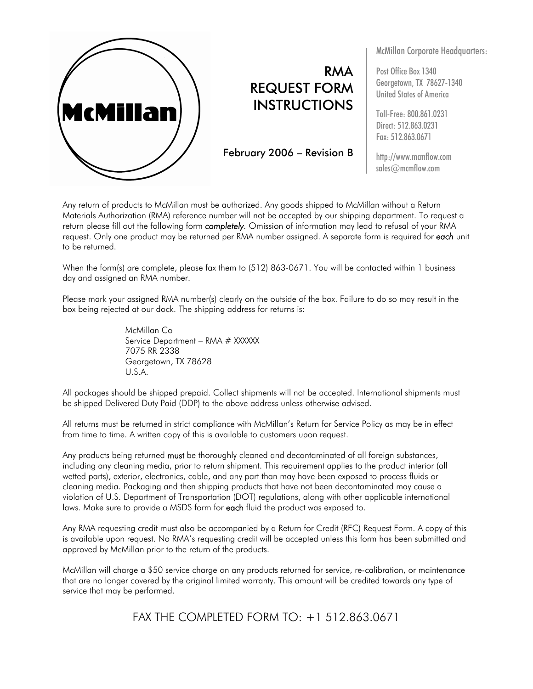

## RMA REQUEST FORM INSTRUCTIONS

February 2006 – Revision B

McMillan Corporate Headquarters:

Post Office Box 1340 Georgetown, TX 78627-1340 United States of America

Toll-Free: 800.861.0231 Direct: 512.863.0231 Fax: 512.863.0671

http://www.mcmflow.com sales@mcmflow.com

Any return of products to McMillan must be authorized. Any goods shipped to McMillan without a Return Materials Authorization (RMA) reference number will not be accepted by our shipping department. To request a return please fill out the following form *completely.* Omission of information may lead to refusal of your RMA request. Only one product may be returned per RMA number assigned. A separate form is required for *each* unit to be returned.

When the form(s) are complete, please fax them to (512) 863-0671. You will be contacted within 1 business day and assigned an RMA number.

Please mark your assigned RMA number(s) clearly on the outside of the box. Failure to do so may result in the box being rejected at our dock. The shipping address for returns is:

> McMillan Co Service Department – RMA # XXXXXX 7075 RR 2338 Georgetown, TX 78628 U.S.A.

All packages should be shipped prepaid. Collect shipments will not be accepted. International shipments must be shipped Delivered Duty Paid (DDP) to the above address unless otherwise advised.

All returns must be returned in strict compliance with McMillan's Return for Service Policy as may be in effect from time to time. A written copy of this is available to customers upon request.

Any products being returned must be thoroughly cleaned and decontaminated of all foreign substances, including any cleaning media, prior to return shipment. This requirement applies to the product interior (all wetted parts), exterior, electronics, cable, and any part than may have been exposed to process fluids or cleaning media. Packaging and then shipping products that have not been decontaminated may cause a violation of U.S. Department of Transportation (DOT) regulations, along with other applicable international laws. Make sure to provide a MSDS form for each fluid the product was exposed to.

Any RMA requesting credit must also be accompanied by a Return for Credit (RFC) Request Form. A copy of this is available upon request. No RMA's requesting credit will be accepted unless this form has been submitted and approved by McMillan prior to the return of the products.

McMillan will charge a \$50 service charge on any products returned for service, re-calibration, or maintenance that are no longer covered by the original limited warranty. This amount will be credited towards any type of service that may be performed.

FAX THE COMPLETED FORM TO: +1 512.863.0671